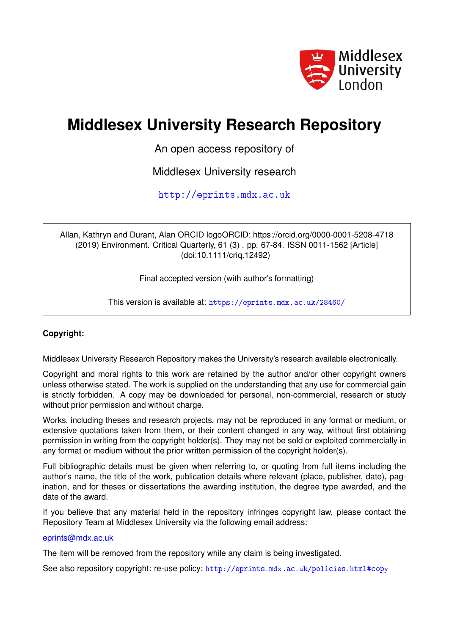

## **Middlesex University Research Repository**

An open access repository of

Middlesex University research

<http://eprints.mdx.ac.uk>

Allan, Kathryn and Durant, Alan ORCID logoORCID: https://orcid.org/0000-0001-5208-4718 (2019) Environment. Critical Quarterly, 61 (3) . pp. 67-84. ISSN 0011-1562 [Article] (doi:10.1111/criq.12492)

Final accepted version (with author's formatting)

This version is available at: <https://eprints.mdx.ac.uk/28460/>

## **Copyright:**

Middlesex University Research Repository makes the University's research available electronically.

Copyright and moral rights to this work are retained by the author and/or other copyright owners unless otherwise stated. The work is supplied on the understanding that any use for commercial gain is strictly forbidden. A copy may be downloaded for personal, non-commercial, research or study without prior permission and without charge.

Works, including theses and research projects, may not be reproduced in any format or medium, or extensive quotations taken from them, or their content changed in any way, without first obtaining permission in writing from the copyright holder(s). They may not be sold or exploited commercially in any format or medium without the prior written permission of the copyright holder(s).

Full bibliographic details must be given when referring to, or quoting from full items including the author's name, the title of the work, publication details where relevant (place, publisher, date), pagination, and for theses or dissertations the awarding institution, the degree type awarded, and the date of the award.

If you believe that any material held in the repository infringes copyright law, please contact the Repository Team at Middlesex University via the following email address:

#### [eprints@mdx.ac.uk](mailto:eprints@mdx.ac.uk)

The item will be removed from the repository while any claim is being investigated.

See also repository copyright: re-use policy: <http://eprints.mdx.ac.uk/policies.html#copy>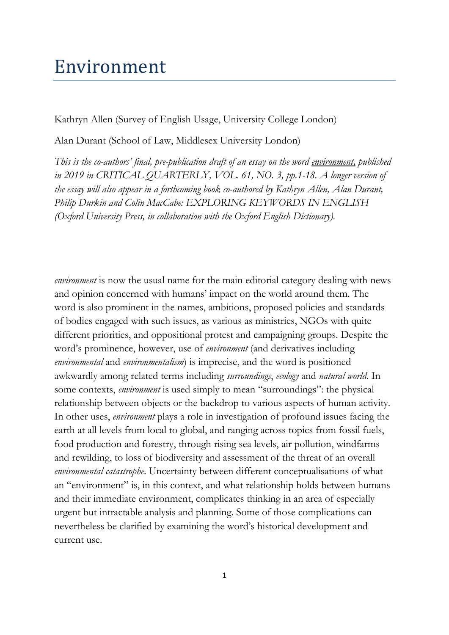# Environment

Kathryn Allen (Survey of English Usage, University College London)

Alan Durant (School of Law, Middlesex University London)

*This is the co-authors' final, pre-publication draft of an essay on the word environment, published in 2019 in CRITICAL QUARTERLY, VOL. 61, NO. 3, pp.1-18. A longer version of the essay will also appear in a forthcoming book co-authored by Kathryn Allen, Alan Durant, Philip Durkin and Colin MacCabe: EXPLORING KEYWORDS IN ENGLISH (Oxford University Press, in collaboration with the Oxford English Dictionary).* 

*environment* is now the usual name for the main editorial category dealing with news and opinion concerned with humans' impact on the world around them. The word is also prominent in the names, ambitions, proposed policies and standards of bodies engaged with such issues, as various as ministries, NGOs with quite different priorities, and oppositional protest and campaigning groups. Despite the word's prominence, however, use of *environment* (and derivatives including *environmental* and *environmentalism*) is imprecise, and the word is positioned awkwardly among related terms including *surroundings*, *ecology* and *natural world*. In some contexts, *environment* is used simply to mean "surroundings": the physical relationship between objects or the backdrop to various aspects of human activity. In other uses, *environment* plays a role in investigation of profound issues facing the earth at all levels from local to global, and ranging across topics from fossil fuels, food production and forestry, through rising sea levels, air pollution, windfarms and rewilding, to loss of biodiversity and assessment of the threat of an overall *environmental catastrophe*. Uncertainty between different conceptualisations of what an "environment" is, in this context, and what relationship holds between humans and their immediate environment, complicates thinking in an area of especially urgent but intractable analysis and planning. Some of those complications can nevertheless be clarified by examining the word's historical development and current use.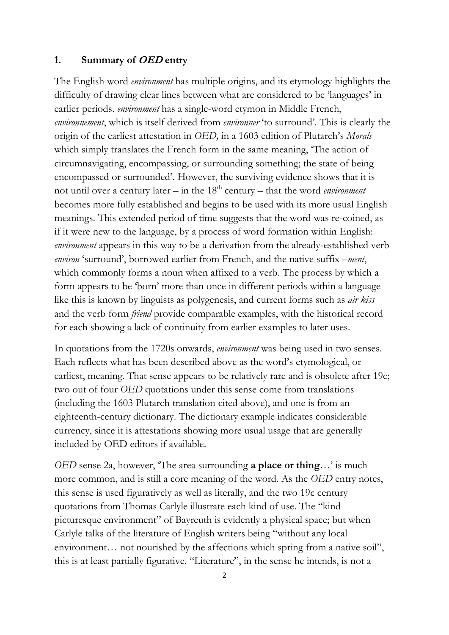## **1. Summary of OED entry**

The English word *environment* has multiple origins, and its etymology highlights the difficulty of drawing clear lines between what are considered to be 'languages' in earlier periods. *environment* has a single-word etymon in Middle French, *environnement*, which is itself derived from *environner* 'to surround'. This is clearly the origin of the earliest attestation in *OED,* in a 1603 edition of Plutarch's *Morals* which simply translates the French form in the same meaning, The action of circumnavigating, encompassing, or surrounding something; the state of being encompassed or surrounded'. However, the surviving evidence shows that it is not until over a century later – in the 18th century – that the word *environment* becomes more fully established and begins to be used with its more usual English meanings. This extended period of time suggests that the word was re-coined, as if it were new to the language, by a process of word formation within English: *environment* appears in this way to be a derivation from the already-established verb *environ* 'surround', borrowed earlier from French, and the native suffix *–ment*, which commonly forms a noun when affixed to a verb. The process by which a form appears to be 'born' more than once in different periods within a language like this is known by linguists as polygenesis, and current forms such as *air kiss*  and the verb form *friend* provide comparable examples, with the historical record for each showing a lack of continuity from earlier examples to later uses.

In quotations from the 1720s onwards, *environment* was being used in two senses. Each reflects what has been described above as the word's etymological, or earliest, meaning. That sense appears to be relatively rare and is obsolete after 19c; two out of four *OED* quotations under this sense come from translations (including the 1603 Plutarch translation cited above), and one is from an eighteenth-century dictionary. The dictionary example indicates considerable currency, since it is attestations showing more usual usage that are generally included by OED editors if available.

*OED* sense 2a, however, 'The area surrounding **a place or thing**…' is much more common, and is still a core meaning of the word. As the *OED* entry notes, this sense is used figuratively as well as literally, and the two 19c century quotations from Thomas Carlyle illustrate each kind of use. The "kind picturesque environment" of Bayreuth is evidently a physical space; but when Carlyle talks of the literature of English writers being "without any local environment... not nourished by the affections which spring from a native soil", this is at least partially figurative. "Literature", in the sense he intends, is not a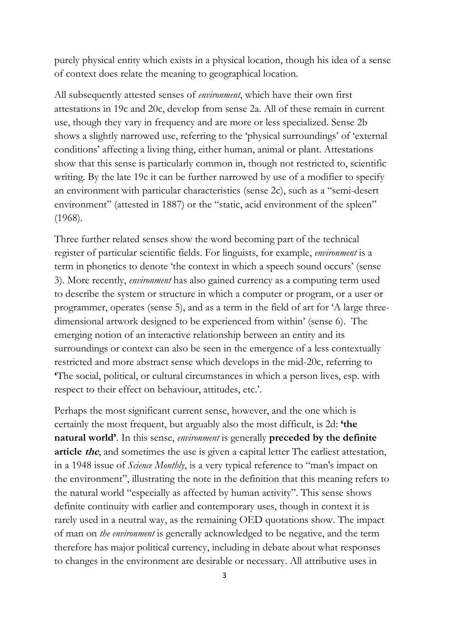purely physical entity which exists in a physical location, though his idea of a sense of context does relate the meaning to geographical location.

All subsequently attested senses of *environment*, which have their own first attestations in 19c and 20c, develop from sense 2a. All of these remain in current use, though they vary in frequency and are more or less specialized. Sense 2b shows a slightly narrowed use, referring to the 'physical surroundings' of 'external conditions' affecting a living thing, either human, animal or plant. Attestations show that this sense is particularly common in, though not restricted to, scientific writing. By the late 19c it can be further narrowed by use of a modifier to specify an environment with particular characteristics (sense 2c), such as a "semi-desert environment" (attested in 1887) or the "static, acid environment of the spleen" (1968).

Three further related senses show the word becoming part of the technical register of particular scientific fields. For linguists, for example, *environment* is a term in phonetics to denote 'the context in which a speech sound occurs' (sense 3). More recently, *environment* has also gained currency as a computing term used to describe the system or structure in which a computer or program, or a user or programmer, operates (sense 5), and as a term in the field of art for 'A large threedimensional artwork designed to be experienced from within' (sense 6). The emerging notion of an interactive relationship between an entity and its surroundings or context can also be seen in the emergence of a less contextually restricted and more abstract sense which develops in the mid-20c, referring to **'**The social, political, or cultural circumstances in which a person lives, esp. with respect to their effect on behaviour, attitudes, etc.'.

Perhaps the most significant current sense, however, and the one which is certainly the most frequent, but arguably also the most difficult, is 2d: **'the natural world'**. In this sense, *environment* is generally **preceded by the definite article the**, and sometimes the use is given a capital letter The earliest attestation, in a 1948 issue of *Science Monthly*, is a very typical reference to "man's impact on the environment", illustrating the note in the definition that this meaning refers to the natural world "especially as affected by human activity". This sense shows definite continuity with earlier and contemporary uses, though in context it is rarely used in a neutral way, as the remaining OED quotations show. The impact of man on *the environment* is generally acknowledged to be negative, and the term therefore has major political currency, including in debate about what responses to changes in the environment are desirable or necessary. All attributive uses in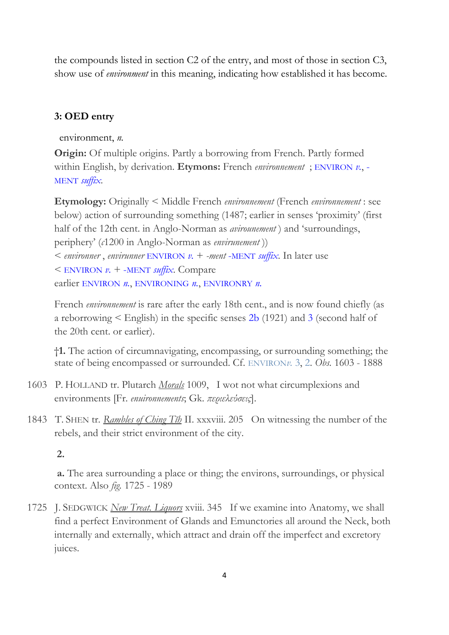the compounds listed in section C2 of the entry, and most of those in section C3, show use of *environment* in this meaning, indicating how established it has become.

## **3: OED entry**

environment, *n.*

**Origin:** Of multiple origins. Partly a borrowing from French. Partly formed within English, by derivation. **Etymons:** French *environnement* ; [ENVIRON](http://www.oed.com.libproxy.ucl.ac.uk/view/Entry/63080#eid5305972) *v.*, [-](http://www.oed.com.libproxy.ucl.ac.uk/view/Entry/116535#eid37270564) MENT *[suffix](http://www.oed.com.libproxy.ucl.ac.uk/view/Entry/116535#eid37270564)*.

**Etymology:** Originally < Middle French *environnement* (French *environnement* : see below) action of surrounding something (1487; earlier in senses 'proximity' (first half of the 12th cent. in Anglo-Norman as *avirounement* ) and 'surroundings, periphery' (*c*1200 in Anglo-Norman as *envirunement* )) < *environner* , *envirunner* [ENVIRON](http://www.oed.com.libproxy.ucl.ac.uk/view/Entry/63080#eid5305972) *v.* + *-ment* -MENT *[suffix](http://www.oed.com.libproxy.ucl.ac.uk/view/Entry/116535#eid37270564)*. In later use < [ENVIRON](http://www.oed.com.libproxy.ucl.ac.uk/view/Entry/63080#eid5305972) *v.* + -MENT *[suffix](http://www.oed.com.libproxy.ucl.ac.uk/view/Entry/116535#eid37270564)*. Compare earlier [ENVIRON](http://www.oed.com.libproxy.ucl.ac.uk/view/Entry/63079#eid5305659) *n.*, [ENVIRONING](http://www.oed.com.libproxy.ucl.ac.uk/view/Entry/63087#eid5306993) *n.*, [ENVIRONRY](http://www.oed.com.libproxy.ucl.ac.uk/view/Entry/63093#eid5308096) *n.*

French *environnement* is rare after the early 18th cent., and is now found chiefly (as a reborrowing < English) in the specific senses [2b](http://www.oed.com.libproxy.ucl.ac.uk/view/Entry/63089?redirectedFrom=environment&print#eid5307242) (1921) and [3](http://www.oed.com.libproxy.ucl.ac.uk/view/Entry/63089?redirectedFrom=environment&print#eid5307286) (second half of the 20th cent. or earlier).

†**1.** The action of circumnavigating, encompassing, or surrounding something; the state of being encompassed or surrounded. Cf. [ENVIRON](http://www.oed.com.libproxy.ucl.ac.uk/view/Entry/63080#eid5306504)*v.* 3, [2.](http://www.oed.com.libproxy.ucl.ac.uk/view/Entry/63080#eid5306279) *Obs.* 1603 - 1888

- 1603 P. HOLLAND tr. Plutarch *[Morals](javascript:void(0))* 1009, I wot not what circumplexions and environments [Fr. *enuironnements*; Gk. *περιελεύσεις*].
- 1843 T. SHEN tr. *[Rambles of Ching Tĭh](javascript:void(0))* II. xxxviii. 205 On witnessing the number of the rebels, and their strict environment of the city.

**2.**

**a.** The area surrounding a place or thing; the environs, surroundings, or physical context. Also *fig.* 1725 - 1989

1725 J. SEDGWICK *[New Treat. Liquors](javascript:void(0))* xviii. 345 If we examine into Anatomy, we shall find a perfect Environment of Glands and Emunctories all around the Neck, both internally and externally, which attract and drain off the imperfect and excretory juices.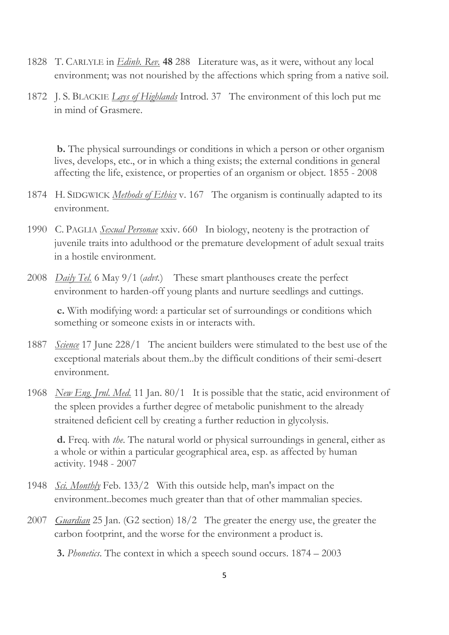- 1828 T. CARLYLE in *[Edinb. Rev.](javascript:void(0))* **48** 288 Literature was, as it were, without any local environment; was not nourished by the affections which spring from a native soil.
- 1872 J. S. BLACKIE *[Lays of Highlands](javascript:void(0))* Introd. 37 The environment of this loch put me in mind of Grasmere.

**b.** The physical surroundings or conditions in which a person or other organism lives, develops, etc., or in which a thing exists; the external conditions in general affecting the life, existence, or properties of an organism or object. 1855 - 2008

- 1874 H. SIDGWICK *[Methods of Ethics](javascript:void(0))* v. 167 The organism is continually adapted to its environment.
- 1990 C. PAGLIA *[Sexual Personae](javascript:void(0))* xxiv. 660 In biology, neoteny is the protraction of juvenile traits into adulthood or the premature development of adult sexual traits in a hostile environment.
- 2008 *[Daily Tel.](javascript:void(0))* 6 May 9/1 (*advt.*) These smart planthouses create the perfect environment to harden-off young plants and nurture seedlings and cuttings.

**c.** With modifying word: a particular set of surroundings or conditions which something or someone exists in or interacts with.

- 1887 *[Science](javascript:void(0))* 17 June 228/1 The ancient builders were stimulated to the best use of the exceptional materials about them..by the difficult conditions of their semi-desert environment.
- 1968 *[New Eng. Jrnl. Med.](javascript:void(0))* 11 Jan. 80/1 It is possible that the static, acid environment of the spleen provides a further degree of metabolic punishment to the already straitened deficient cell by creating a further reduction in glycolysis.

**d.** Freq. with *the*. The natural world or physical surroundings in general, either as a whole or within a particular geographical area, esp. as affected by human activity. 1948 - 2007

- 1948 *[Sci. Monthly](javascript:void(0))* Feb. 133/2 With this outside help, man's impact on the environment..becomes much greater than that of other mammalian species.
- 2007 *[Guardian](javascript:void(0))* 25 Jan. (G2 section) 18/2 The greater the energy use, the greater the carbon footprint, and the worse for the environment a product is.

**3.** *Phonetics*. The context in which a speech sound occurs. 1874 – 2003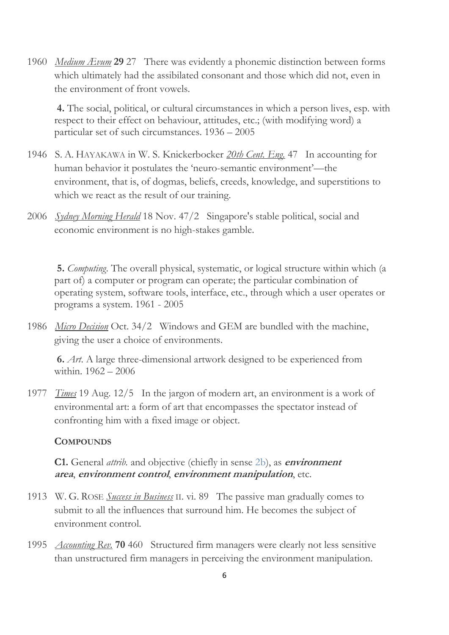1960 *[Medium Ævum](javascript:void(0))* **29** 27 There was evidently a phonemic distinction between forms which ultimately had the assibilated consonant and those which did not, even in the environment of front vowels.

**4.** The social, political, or cultural circumstances in which a person lives, esp. with respect to their effect on behaviour, attitudes, etc.; (with modifying word) a particular set of such circumstances. 1936 – 2005

- 1946 S. A. HAYAKAWA in W. S. Knickerbocker *[20th Cent. Eng.](javascript:void(0))* 47 In accounting for human behavior it postulates the 'neuro-semantic environment'—the environment, that is, of dogmas, beliefs, creeds, knowledge, and superstitions to which we react as the result of our training.
- 2006 *[Sydney Morning Herald](javascript:void(0))* 18 Nov. 47/2 Singapore's stable political, social and economic environment is no high-stakes gamble.

**5.** *Computing*. The overall physical, systematic, or logical structure within which (a part of) a computer or program can operate; the particular combination of operating system, software tools, interface, etc., through which a user operates or programs a system. 1961 - 2005

1986 *[Micro Decision](javascript:void(0))* Oct. 34/2 Windows and GEM are bundled with the machine, giving the user a choice of environments.

**6.** *Art*. A large three-dimensional artwork designed to be experienced from within. 1962 – 2006

1977 *[Times](javascript:void(0))* 19 Aug. 12/5 In the jargon of modern art, an environment is a work of environmental art: a form of art that encompasses the spectator instead of confronting him with a fixed image or object.

## **COMPOUNDS**

**C1.** General *attrib.* and objective (chiefly in sense [2b\)](http://www.oed.com.libproxy.ucl.ac.uk/view/Entry/63089?redirectedFrom=environment&print#eid5307242), as **environment area**, **environment control**, **environment manipulation**, etc.

- 1913 W. G. ROSE *Success [in Business](javascript:void(0))* II. vi. 89 The passive man gradually comes to submit to all the influences that surround him. He becomes the subject of environment control.
- 1995 *[Accounting Rev.](javascript:void(0))* **70** 460 Structured firm managers were clearly not less sensitive than unstructured firm managers in perceiving the environment manipulation.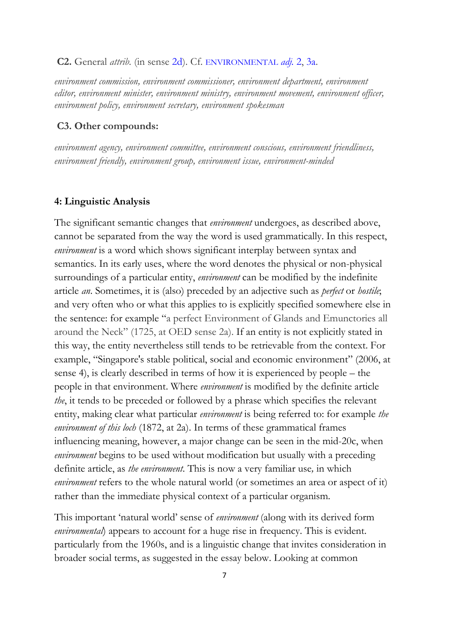## **C2.** General *attrib.* (in sense [2d\)](http://www.oed.com.libproxy.ucl.ac.uk/view/Entry/63089?redirectedFrom=environment&print#eid183516713). Cf. [ENVIRONMENTAL](http://www.oed.com.libproxy.ucl.ac.uk/view/Entry/63090#eid193151897) *adj.* 2, [3a.](http://www.oed.com.libproxy.ucl.ac.uk/view/Entry/63090#eid193151960)

*environment commission, environment commissioner, environment department, environment editor, environment minister, environment ministry, environment movement, environment officer, environment policy, environment secretary, environment spokesman*

#### **C3. Other compounds:**

*environment agency, environment committee, environment conscious, environment friendliness, environment friendly, environment group, environment issue, environment-minded*

## **4: Linguistic Analysis**

The significant semantic changes that *environment* undergoes, as described above, cannot be separated from the way the word is used grammatically. In this respect, *environment* is a word which shows significant interplay between syntax and semantics. In its early uses, where the word denotes the physical or non-physical surroundings of a particular entity, *environment* can be modified by the indefinite article *an*. Sometimes, it is (also) preceded by an adjective such as *perfect* or *hostile*; and very often who or what this applies to is explicitly specified somewhere else in the sentence: for example "a perfect Environment of Glands and Emunctories all around the Neck" (1725, at OED sense 2a). If an entity is not explicitly stated in this way, the entity nevertheless still tends to be retrievable from the context. For example, "Singapore's stable political, social and economic environment" (2006, at sense 4), is clearly described in terms of how it is experienced by people – the people in that environment. Where *environment* is modified by the definite article *the*, it tends to be preceded or followed by a phrase which specifies the relevant entity, making clear what particular *environment* is being referred to: for example *the environment of this loch* (1872, at 2a). In terms of these grammatical frames influencing meaning, however, a major change can be seen in the mid-20c, when *environment* begins to be used without modification but usually with a preceding definite article, as *the environment*. This is now a very familiar use*,* in which *environment* refers to the whole natural world (or sometimes an area or aspect of it) rather than the immediate physical context of a particular organism.

This important 'natural world' sense of *environment* (along with its derived form *environmental*) appears to account for a huge rise in frequency. This is evident. particularly from the 1960s, and is a linguistic change that invites consideration in broader social terms, as suggested in the essay below. Looking at common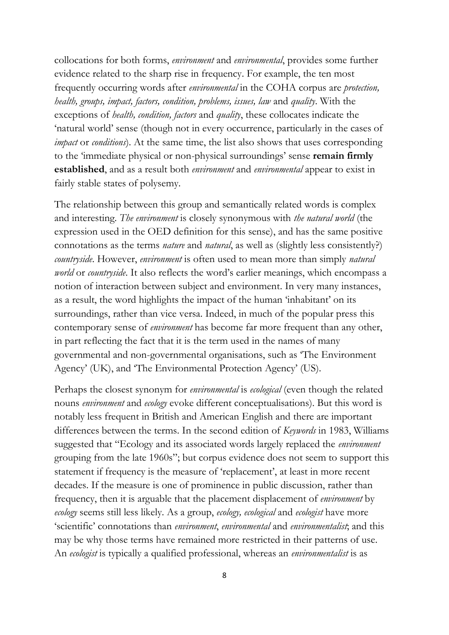collocations for both forms, *environment* and *environmental*, provides some further evidence related to the sharp rise in frequency. For example, the ten most frequently occurring words after *environmental* in the COHA corpus are *protection, health, groups, impact, factors, condition, problems, issues, law* and *quality*. With the exceptions of *health, condition, factors* and *quality*, these collocates indicate the 'natural world' sense (though not in every occurrence, particularly in the cases of *impact* or *conditions*). At the same time, the list also shows that uses corresponding to the 'immediate physical or non-physical surroundings' sense **remain firmly established**, and as a result both *environment* and *environmental* appear to exist in fairly stable states of polysemy.

The relationship between this group and semantically related words is complex and interesting. *The environment* is closely synonymous with *the natural world* (the expression used in the OED definition for this sense), and has the same positive connotations as the terms *nature* and *natural*, as well as (slightly less consistently?) *countryside*. However, *environment* is often used to mean more than simply *natural world* or *countryside*. It also reflects the word's earlier meanings, which encompass a notion of interaction between subject and environment. In very many instances, as a result, the word highlights the impact of the human 'inhabitant' on its surroundings, rather than vice versa. Indeed, in much of the popular press this contemporary sense of *environment* has become far more frequent than any other, in part reflecting the fact that it is the term used in the names of many governmental and non-governmental organisations, such as 'The Environment Agency' (UK), and 'The Environmental Protection Agency' (US).

Perhaps the closest synonym for *environmental* is *ecological* (even though the related nouns *environment* and *ecology* evoke different conceptualisations). But this word is notably less frequent in British and American English and there are important differences between the terms. In the second edition of *Keywords* in 1983, Williams suggested that "Ecology and its associated words largely replaced the *environment*  grouping from the late 1960s"; but corpus evidence does not seem to support this statement if frequency is the measure of 'replacement', at least in more recent decades. If the measure is one of prominence in public discussion, rather than frequency, then it is arguable that the placement displacement of *environment* by *ecology* seems still less likely. As a group, *ecology, ecological* and *ecologist* have more 'scientific' connotations than *environment*, *environmental* and *environmentalist*; and this may be why those terms have remained more restricted in their patterns of use. An *ecologist* is typically a qualified professional, whereas an *environmentalist* is as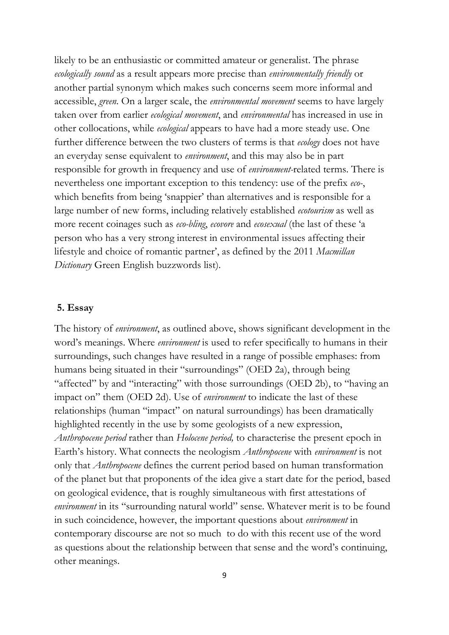likely to be an enthusiastic or committed amateur or generalist. The phrase *ecologically sound* as a result appears more precise than *environmentally friendly* or another partial synonym which makes such concerns seem more informal and accessible, *green*. On a larger scale, the *environmental movement* seems to have largely taken over from earlier *ecological movement*, and *environmental* has increased in use in other collocations, while *ecological* appears to have had a more steady use. One further difference between the two clusters of terms is that *ecology* does not have an everyday sense equivalent to *environment*, and this may also be in part responsible for growth in frequency and use of *environment-*related terms. There is nevertheless one important exception to this tendency: use of the prefix *eco-*, which benefits from being 'snappier' than alternatives and is responsible for a large number of new forms, including relatively established *ecotourism* as well as more recent coinages such as *eco-bling*, *ecovore* and *ecosexual* (the last of these 'a person who has a very strong interest in environmental issues affecting their lifestyle and choice of romantic partner', as defined by the 2011 *Macmillan Dictionary* Green English buzzwords list).

#### **5. Essay**

The history of *environment*, as outlined above, shows significant development in the word's meanings. Where *environment* is used to refer specifically to humans in their surroundings, such changes have resulted in a range of possible emphases: from humans being situated in their "surroundings" (OED 2a), through being "affected" by and "interacting" with those surroundings (OED 2b), to "having an impact on" them (OED 2d). Use of *environment* to indicate the last of these relationships (human "impact" on natural surroundings) has been dramatically highlighted recently in the use by some geologists of a new expression, *Anthropocene period* rather than *Holocene period,* to characterise the present epoch in Earth's history. What connects the neologism *Anthropocene* with *environment* is not only that *Anthropocene* defines the current period based on human transformation of the planet but that proponents of the idea give a start date for the period, based on geological evidence, that is roughly simultaneous with first attestations of *environment* in its "surrounding natural world" sense. Whatever merit is to be found in such coincidence, however, the important questions about *environment* in contemporary discourse are not so much to do with this recent use of the word as questions about the relationship between that sense and the word's continuing, other meanings.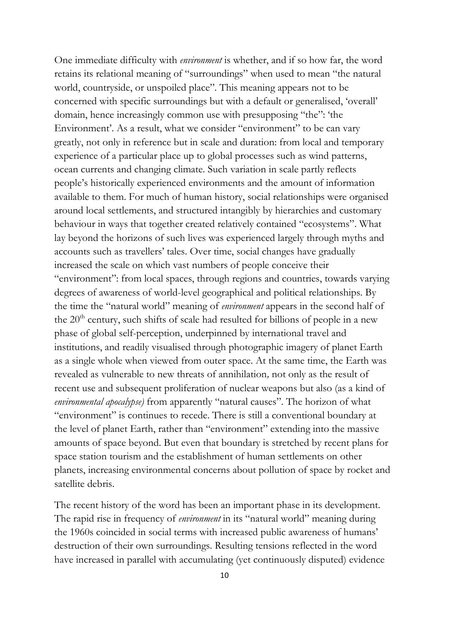One immediate difficulty with *environment* is whether, and if so how far, the word retains its relational meaning of "surroundings" when used to mean "the natural world, countryside, or unspoiled place". This meaning appears not to be concerned with specific surroundings but with a default or generalised, 'overall' domain, hence increasingly common use with presupposing "the": 'the Environment'. As a result, what we consider "environment" to be can vary greatly, not only in reference but in scale and duration: from local and temporary experience of a particular place up to global processes such as wind patterns, ocean currents and changing climate. Such variation in scale partly reflects people's historically experienced environments and the amount of information available to them. For much of human history, social relationships were organised around local settlements, and structured intangibly by hierarchies and customary behaviour in ways that together created relatively contained "ecosystems". What lay beyond the horizons of such lives was experienced largely through myths and accounts such as travellers' tales. Over time, social changes have gradually increased the scale on which vast numbers of people conceive their "environment": from local spaces, through regions and countries, towards varying degrees of awareness of world-level geographical and political relationships. By the time the "natural world" meaning of *environment* appears in the second half of the  $20<sup>th</sup>$  century, such shifts of scale had resulted for billions of people in a new phase of global self-perception, underpinned by international travel and institutions, and readily visualised through photographic imagery of planet Earth as a single whole when viewed from outer space. At the same time, the Earth was revealed as vulnerable to new threats of annihilation*,* not only as the result of recent use and subsequent proliferation of nuclear weapons but also (as a kind of *environmental apocalypse)* from apparently "natural causes". The horizon of what "environment" is continues to recede. There is still a conventional boundary at the level of planet Earth, rather than "environment" extending into the massive amounts of space beyond. But even that boundary is stretched by recent plans for space station tourism and the establishment of human settlements on other planets, increasing environmental concerns about pollution of space by rocket and satellite debris.

The recent history of the word has been an important phase in its development. The rapid rise in frequency of *environment* in its "natural world" meaning during the 1960s coincided in social terms with increased public awareness of humans' destruction of their own surroundings. Resulting tensions reflected in the word have increased in parallel with accumulating (yet continuously disputed) evidence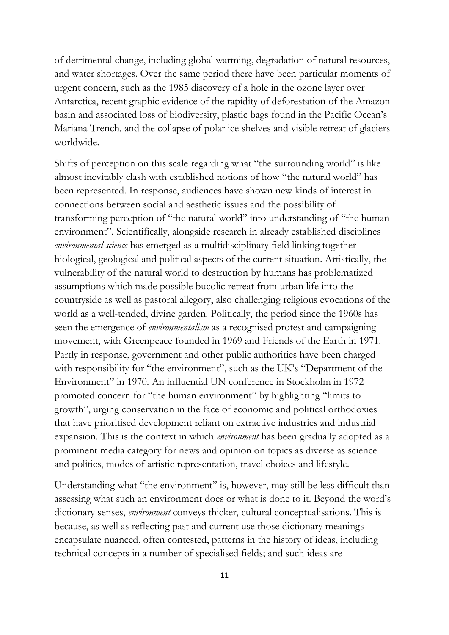of detrimental change, including global warming, degradation of natural resources, and water shortages. Over the same period there have been particular moments of urgent concern, such as the 1985 discovery of a hole in the ozone layer over Antarctica, recent graphic evidence of the rapidity of deforestation of the Amazon basin and associated loss of biodiversity, plastic bags found in the Pacific Ocean's Mariana Trench, and the collapse of polar ice shelves and visible retreat of glaciers worldwide.

Shifts of perception on this scale regarding what "the surrounding world" is like almost inevitably clash with established notions of how "the natural world" has been represented. In response, audiences have shown new kinds of interest in connections between social and aesthetic issues and the possibility of transforming perception of "the natural world" into understanding of "the human environment". Scientifically, alongside research in already established disciplines *environmental science* has emerged as a multidisciplinary field linking together biological, geological and political aspects of the current situation. Artistically, the vulnerability of the natural world to destruction by humans has problematized assumptions which made possible bucolic retreat from urban life into the countryside as well as pastoral allegory, also challenging religious evocations of the world as a well-tended, divine garden. Politically, the period since the 1960s has seen the emergence of *environmentalism* as a recognised protest and campaigning movement, with Greenpeace founded in 1969 and Friends of the Earth in 1971. Partly in response, government and other public authorities have been charged with responsibility for "the environment", such as the UK's "Department of the Environment" in 1970. An influential UN conference in Stockholm in 1972 promoted concern for "the human environment" by highlighting "limits to growth", urging conservation in the face of economic and political orthodoxies that have prioritised development reliant on extractive industries and industrial expansion. This is the context in which *environment* has been gradually adopted as a prominent media category for news and opinion on topics as diverse as science and politics, modes of artistic representation, travel choices and lifestyle.

Understanding what "the environment" is, however, may still be less difficult than assessing what such an environment does or what is done to it. Beyond the word's dictionary senses, *environment* conveys thicker, cultural conceptualisations. This is because, as well as reflecting past and current use those dictionary meanings encapsulate nuanced, often contested, patterns in the history of ideas, including technical concepts in a number of specialised fields; and such ideas are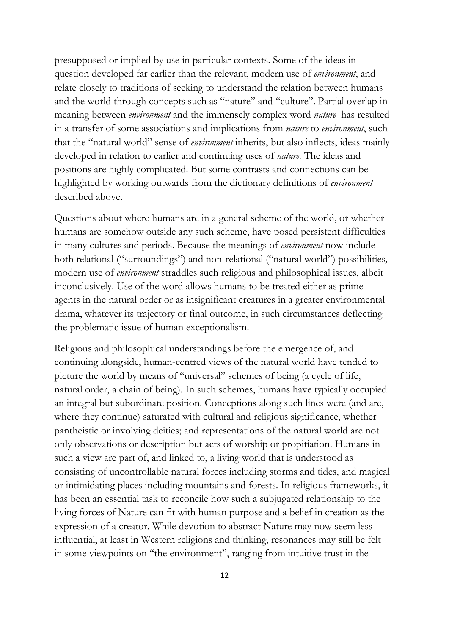presupposed or implied by use in particular contexts. Some of the ideas in question developed far earlier than the relevant, modern use of *environment*, and relate closely to traditions of seeking to understand the relation between humans and the world through concepts such as "nature" and "culture". Partial overlap in meaning between *environment* and the immensely complex word *nature* has resulted in a transfer of some associations and implications from *nature* to *environment*, such that the "natural world" sense of *environment* inherits, but also inflects, ideas mainly developed in relation to earlier and continuing uses of *nature*. The ideas and positions are highly complicated. But some contrasts and connections can be highlighted by working outwards from the dictionary definitions of *environment* described above.

Questions about where humans are in a general scheme of the world, or whether humans are somehow outside any such scheme, have posed persistent difficulties in many cultures and periods. Because the meanings of *environment* now include both relational ("surroundings") and non-relational ("natural world") possibilities*,* modern use of *environment* straddles such religious and philosophical issues, albeit inconclusively. Use of the word allows humans to be treated either as prime agents in the natural order or as insignificant creatures in a greater environmental drama, whatever its trajectory or final outcome, in such circumstances deflecting the problematic issue of human exceptionalism.

Religious and philosophical understandings before the emergence of, and continuing alongside, human-centred views of the natural world have tended to picture the world by means of "universal" schemes of being (a cycle of life, natural order, a chain of being). In such schemes, humans have typically occupied an integral but subordinate position. Conceptions along such lines were (and are, where they continue) saturated with cultural and religious significance, whether pantheistic or involving deities; and representations of the natural world are not only observations or description but acts of worship or propitiation. Humans in such a view are part of, and linked to, a living world that is understood as consisting of uncontrollable natural forces including storms and tides, and magical or intimidating places including mountains and forests. In religious frameworks, it has been an essential task to reconcile how such a subjugated relationship to the living forces of Nature can fit with human purpose and a belief in creation as the expression of a creator. While devotion to abstract Nature may now seem less influential, at least in Western religions and thinking, resonances may still be felt in some viewpoints on "the environment", ranging from intuitive trust in the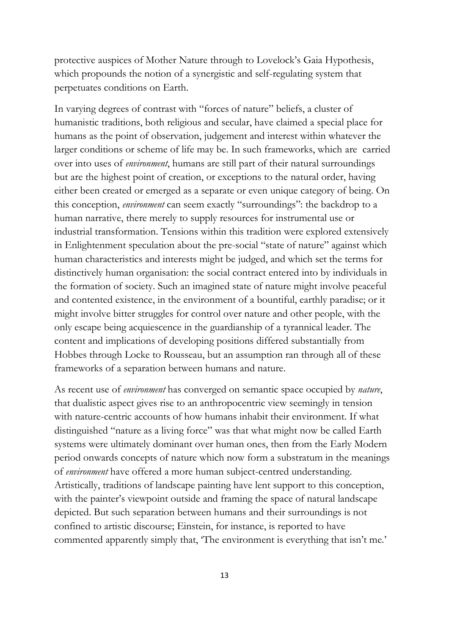protective auspices of Mother Nature through to Lovelock's Gaia Hypothesis, which propounds the notion of a synergistic and self-regulating system that perpetuates conditions on Earth.

In varying degrees of contrast with "forces of nature" beliefs, a cluster of humanistic traditions, both religious and secular, have claimed a special place for humans as the point of observation, judgement and interest within whatever the larger conditions or scheme of life may be. In such frameworks, which are carried over into uses of *environment*, humans are still part of their natural surroundings but are the highest point of creation, or exceptions to the natural order, having either been created or emerged as a separate or even unique category of being. On this conception, *environment* can seem exactly "surroundings": the backdrop to a human narrative, there merely to supply resources for instrumental use or industrial transformation. Tensions within this tradition were explored extensively in Enlightenment speculation about the pre-social "state of nature" against which human characteristics and interests might be judged, and which set the terms for distinctively human organisation: the social contract entered into by individuals in the formation of society. Such an imagined state of nature might involve peaceful and contented existence, in the environment of a bountiful, earthly paradise; or it might involve bitter struggles for control over nature and other people, with the only escape being acquiescence in the guardianship of a tyrannical leader. The content and implications of developing positions differed substantially from Hobbes through Locke to Rousseau, but an assumption ran through all of these frameworks of a separation between humans and nature.

As recent use of *environment* has converged on semantic space occupied by *nature*, that dualistic aspect gives rise to an anthropocentric view seemingly in tension with nature-centric accounts of how humans inhabit their environment. If what distinguished "nature as a living force" was that what might now be called Earth systems were ultimately dominant over human ones, then from the Early Modern period onwards concepts of nature which now form a substratum in the meanings of *environment* have offered a more human subject-centred understanding. Artistically, traditions of landscape painting have lent support to this conception, with the painter's viewpoint outside and framing the space of natural landscape depicted. But such separation between humans and their surroundings is not confined to artistic discourse; Einstein, for instance, is reported to have commented apparently simply that, 'The environment is everything that isn't me.'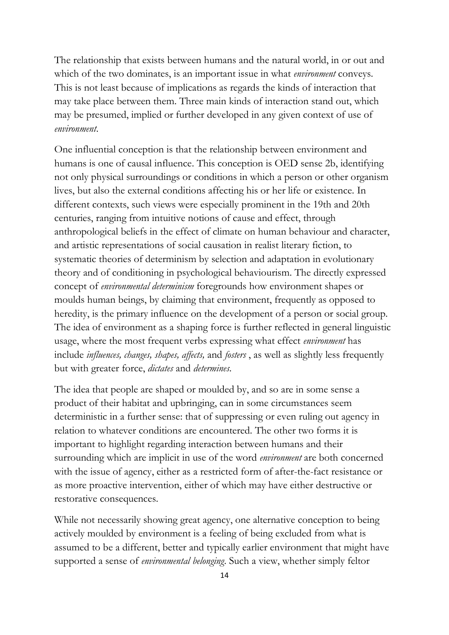The relationship that exists between humans and the natural world, in or out and which of the two dominates, is an important issue in what *environment* conveys. This is not least because of implications as regards the kinds of interaction that may take place between them. Three main kinds of interaction stand out, which may be presumed, implied or further developed in any given context of use of *environment*.

One influential conception is that the relationship between environment and humans is one of causal influence. This conception is OED sense 2b, identifying not only physical surroundings or conditions in which a person or other organism lives, but also the external conditions affecting his or her life or existence. In different contexts, such views were especially prominent in the 19th and 20th centuries, ranging from intuitive notions of cause and effect, through anthropological beliefs in the effect of climate on human behaviour and character, and artistic representations of social causation in realist literary fiction, to systematic theories of determinism by selection and adaptation in evolutionary theory and of conditioning in psychological behaviourism. The directly expressed concept of *environmental determinism* foregrounds how environment shapes or moulds human beings, by claiming that environment, frequently as opposed to heredity, is the primary influence on the development of a person or social group. The idea of environment as a shaping force is further reflected in general linguistic usage, where the most frequent verbs expressing what effect *environment* has include *influences, changes, shapes, affects,* and *fosters* , as well as slightly less frequently but with greater force, *dictates* and *determines*.

The idea that people are shaped or moulded by, and so are in some sense a product of their habitat and upbringing, can in some circumstances seem deterministic in a further sense: that of suppressing or even ruling out agency in relation to whatever conditions are encountered. The other two forms it is important to highlight regarding interaction between humans and their surrounding which are implicit in use of the word *environment* are both concerned with the issue of agency, either as a restricted form of after-the-fact resistance or as more proactive intervention, either of which may have either destructive or restorative consequences.

While not necessarily showing great agency, one alternative conception to being actively moulded by environment is a feeling of being excluded from what is assumed to be a different, better and typically earlier environment that might have supported a sense of *environmental belonging*. Such a view, whether simply feltor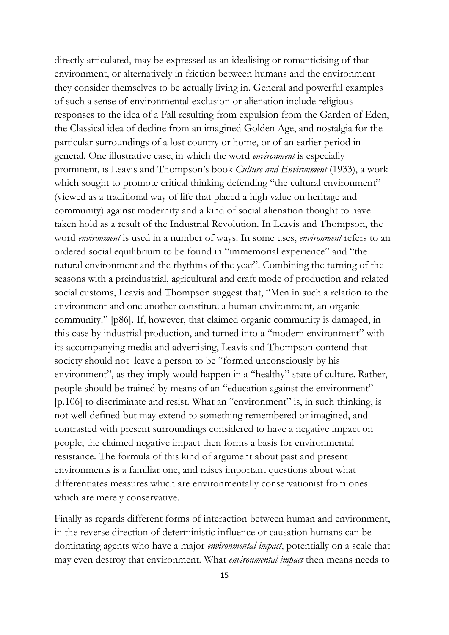directly articulated, may be expressed as an idealising or romanticising of that environment, or alternatively in friction between humans and the environment they consider themselves to be actually living in. General and powerful examples of such a sense of environmental exclusion or alienation include religious responses to the idea of a Fall resulting from expulsion from the Garden of Eden, the Classical idea of decline from an imagined Golden Age, and nostalgia for the particular surroundings of a lost country or home, or of an earlier period in general. One illustrative case, in which the word *environment* is especially prominent, is Leavis and Thompson's book *Culture and Environment* (1933), a work which sought to promote critical thinking defending "the cultural environment" (viewed as a traditional way of life that placed a high value on heritage and community) against modernity and a kind of social alienation thought to have taken hold as a result of the Industrial Revolution. In Leavis and Thompson, the word *environment* is used in a number of ways. In some uses, *environment* refers to an ordered social equilibrium to be found in "immemorial experience" and "the natural environment and the rhythms of the year". Combining the turning of the seasons with a preindustrial, agricultural and craft mode of production and related social customs, Leavis and Thompson suggest that, "Men in such a relation to the environment and one another constitute a human environment*,* an organic community." [p86]. If, however, that claimed organic community is damaged, in this case by industrial production, and turned into a "modern environment" with its accompanying media and advertising, Leavis and Thompson contend that society should not leave a person to be "formed unconsciously by his environment", as they imply would happen in a "healthy" state of culture. Rather, people should be trained by means of an "education against the environment" [p.106] to discriminate and resist. What an "environment" is, in such thinking, is not well defined but may extend to something remembered or imagined, and contrasted with present surroundings considered to have a negative impact on people; the claimed negative impact then forms a basis for environmental resistance. The formula of this kind of argument about past and present environments is a familiar one, and raises important questions about what differentiates measures which are environmentally conservationist from ones which are merely conservative.

Finally as regards different forms of interaction between human and environment, in the reverse direction of deterministic influence or causation humans can be dominating agents who have a major *environmental impact*, potentially on a scale that may even destroy that environment. What *environmental impact* then means needs to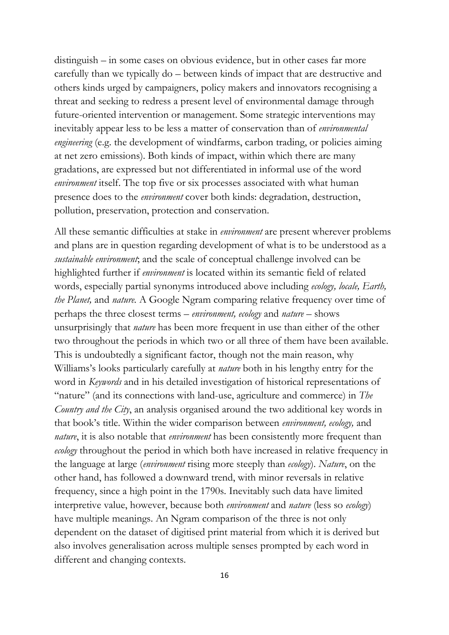distinguish – in some cases on obvious evidence, but in other cases far more carefully than we typically do – between kinds of impact that are destructive and others kinds urged by campaigners, policy makers and innovators recognising a threat and seeking to redress a present level of environmental damage through future-oriented intervention or management. Some strategic interventions may inevitably appear less to be less a matter of conservation than of *environmental engineering* (e.g. the development of windfarms, carbon trading, or policies aiming at net zero emissions). Both kinds of impact, within which there are many gradations, are expressed but not differentiated in informal use of the word *environment* itself. The top five or six processes associated with what human presence does to the *environment* cover both kinds: degradation, destruction, pollution, preservation, protection and conservation.

All these semantic difficulties at stake in *environment* are present wherever problems and plans are in question regarding development of what is to be understood as a *sustainable environment*; and the scale of conceptual challenge involved can be highlighted further if *environment* is located within its semantic field of related words, especially partial synonyms introduced above including *ecology, locale, Earth, the Planet,* and *nature.* A Google Ngram comparing relative frequency over time of perhaps the three closest terms – *environment, ecology* and *nature* – shows unsurprisingly that *nature* has been more frequent in use than either of the other two throughout the periods in which two or all three of them have been available. This is undoubtedly a significant factor, though not the main reason, why Williams's looks particularly carefully at *nature* both in his lengthy entry for the word in *Keywords* and in his detailed investigation of historical representations of "nature" (and its connections with land-use, agriculture and commerce) in *The Country and the City*, an analysis organised around the two additional key words in that book's title. Within the wider comparison between *environment, ecology,* and *nature*, it is also notable that *environment* has been consistently more frequent than *ecology* throughout the period in which both have increased in relative frequency in the language at large (*environment* rising more steeply than *ecology*). *Nature*, on the other hand, has followed a downward trend, with minor reversals in relative frequency, since a high point in the 1790s. Inevitably such data have limited interpretive value, however, because both *environment* and *nature* (less so *ecology*) have multiple meanings. An Ngram comparison of the three is not only dependent on the dataset of digitised print material from which it is derived but also involves generalisation across multiple senses prompted by each word in different and changing contexts.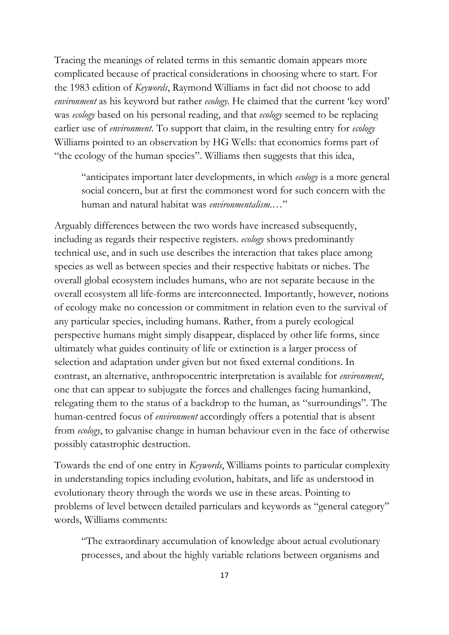Tracing the meanings of related terms in this semantic domain appears more complicated because of practical considerations in choosing where to start. For the 1983 edition of *Keywords*, Raymond Williams in fact did not choose to add *environment* as his keyword but rather *ecology*. He claimed that the current 'key word' was *ecology* based on his personal reading, and that *ecology* seemed to be replacing earlier use of *environment*. To support that claim, in the resulting entry for *ecology* Williams pointed to an observation by HG Wells: that economics forms part of "the ecology of the human species". Williams then suggests that this idea,

"anticipates important later developments, in which *ecology* is a more general social concern, but at first the commonest word for such concern with the human and natural habitat was *environmentalism*.…"

Arguably differences between the two words have increased subsequently, including as regards their respective registers. *ecology* shows predominantly technical use, and in such use describes the interaction that takes place among species as well as between species and their respective habitats or niches. The overall global ecosystem includes humans, who are not separate because in the overall ecosystem all life-forms are interconnected. Importantly, however, notions of ecology make no concession or commitment in relation even to the survival of any particular species, including humans. Rather, from a purely ecological perspective humans might simply disappear, displaced by other life forms, since ultimately what guides continuity of life or extinction is a larger process of selection and adaptation under given but not fixed external conditions. In contrast, an alternative, anthropocentric interpretation is available for *environment*, one that can appear to subjugate the forces and challenges facing humankind, relegating them to the status of a backdrop to the human, as "surroundings". The human-centred focus of *environment* accordingly offers a potential that is absent from *ecology*, to galvanise change in human behaviour even in the face of otherwise possibly catastrophic destruction.

Towards the end of one entry in *Keywords*, Williams points to particular complexity in understanding topics including evolution, habitats, and life as understood in evolutionary theory through the words we use in these areas. Pointing to problems of level between detailed particulars and keywords as "general category" words, Williams comments:

"The extraordinary accumulation of knowledge about actual evolutionary processes, and about the highly variable relations between organisms and